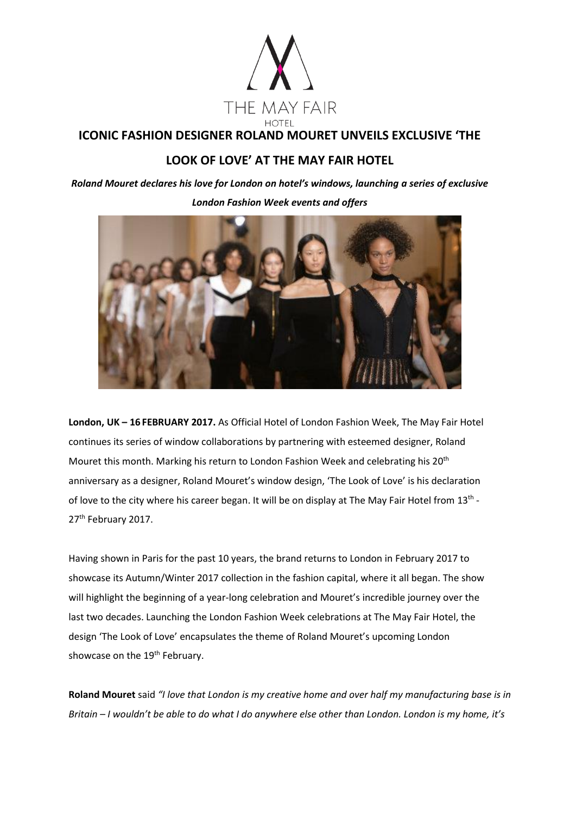

## **ICONIC FASHION DESIGNER ROLAND MOURET UNVEILS EXCLUSIVE 'THE**

# **LOOK OF LOVE' AT THE MAY FAIR HOTEL**

*Roland Mouret declares his love for London on hotel's windows, launching a series of exclusive London Fashion Week events and offers* 



**London, UK – 16 FEBRUARY 2017.** As Official Hotel of London Fashion Week, The May Fair Hotel continues its series of window collaborations by partnering with esteemed designer, Roland Mouret this month. Marking his return to London Fashion Week and celebrating his 20th anniversary as a designer, Roland Mouret's window design, 'The Look of Love' is his declaration of love to the city where his career began. It will be on display at The May Fair Hotel from 13<sup>th</sup> -27<sup>th</sup> February 2017.

Having shown in Paris for the past 10 years, the brand returns to London in February 2017 to showcase its Autumn/Winter 2017 collection in the fashion capital, where it all began. The show will highlight the beginning of a year-long celebration and Mouret's incredible journey over the last two decades. Launching the London Fashion Week celebrations at The May Fair Hotel, the design 'The Look of Love' encapsulates the theme of Roland Mouret's upcoming London showcase on the 19<sup>th</sup> February.

**Roland Mouret** said *"I love that London is my creative home and over half my manufacturing base is in Britain – I wouldn't be able to do what I do anywhere else other than London. London is my home, it's*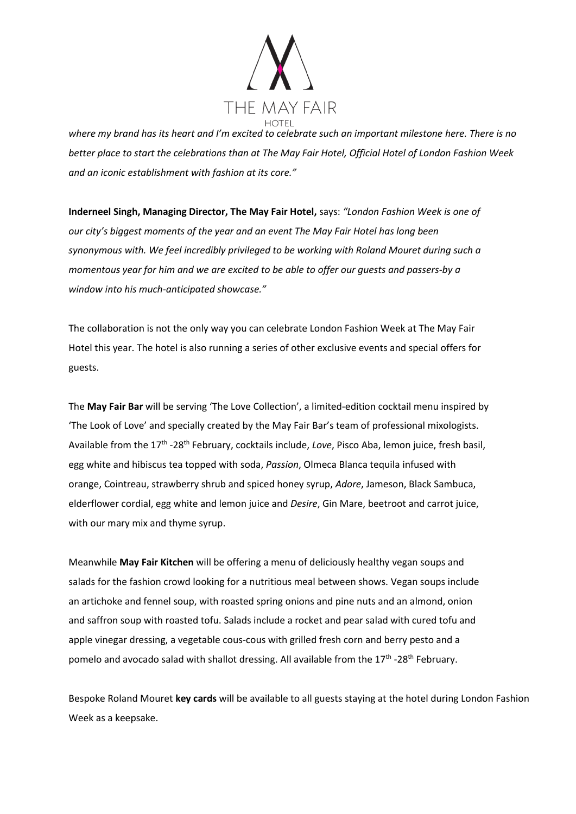

*where my brand has its heart and I'm excited to celebrate such an important milestone here. There is no better place to start the celebrations than at The May Fair Hotel, Official Hotel of London Fashion Week and an iconic establishment with fashion at its core."*

**Inderneel Singh, Managing Director, The May Fair Hotel,** says: *"London Fashion Week is one of our city's biggest moments of the year and an event The May Fair Hotel has long been synonymous with. We feel incredibly privileged to be working with Roland Mouret during such a momentous year for him and we are excited to be able to offer our guests and passers-by a window into his much-anticipated showcase."*

The collaboration is not the only way you can celebrate London Fashion Week at The May Fair Hotel this year. The hotel is also running a series of other exclusive events and special offers for guests.

The **May Fair Bar** will be serving 'The Love Collection', a limited-edition cocktail menu inspired by 'The Look of Love' and specially created by the May Fair Bar's team of professional mixologists. Available from the 17<sup>th</sup> -28<sup>th</sup> February, cocktails include, *Love*, Pisco Aba, lemon juice, fresh basil, egg white and hibiscus tea topped with soda, *Passion*, Olmeca Blanca tequila infused with orange, Cointreau, strawberry shrub and spiced honey syrup, *Adore*, Jameson, Black Sambuca, elderflower cordial, egg white and lemon juice and *Desire*, Gin Mare, beetroot and carrot juice, with our mary mix and thyme syrup.

Meanwhile **May Fair Kitchen** will be offering a menu of deliciously healthy vegan soups and salads for the fashion crowd looking for a nutritious meal between shows. Vegan soups include an artichoke and fennel soup, with roasted spring onions and pine nuts and an almond, onion and saffron soup with roasted tofu. Salads include a rocket and pear salad with cured tofu and apple vinegar dressing, a vegetable cous-cous with grilled fresh corn and berry pesto and a pomelo and avocado salad with shallot dressing. All available from the 17<sup>th</sup> -28<sup>th</sup> February.

Bespoke Roland Mouret **key cards** will be available to all guests staying at the hotel during London Fashion Week as a keepsake.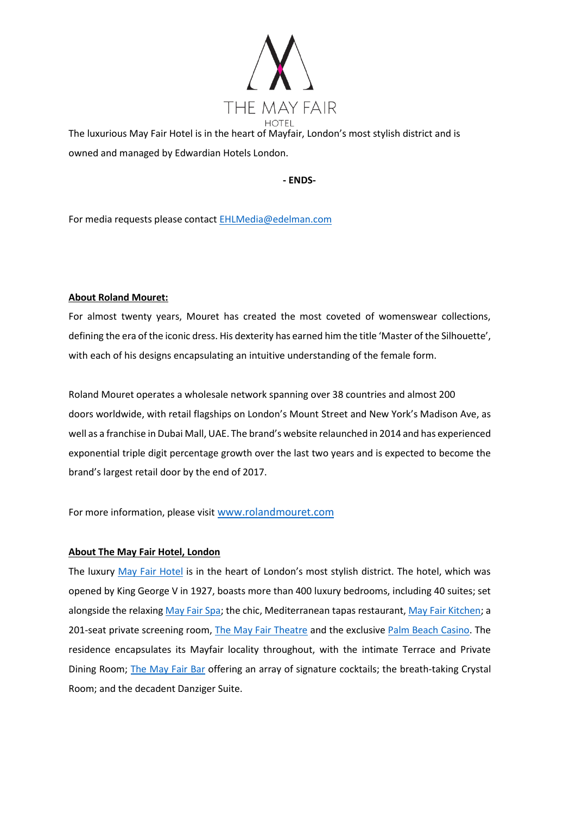

The luxurious May Fair Hotel is in the heart of Mayfair, London's most stylish district and is owned and managed by Edwardian Hotels London.

**- ENDS-**

For media requests please contact [EHLMedia@edelman.com](mailto:EHLMedia@edelman.com)

#### **About Roland Mouret:**

For almost twenty years, Mouret has created the most coveted of womenswear collections, defining the era of the iconic dress. His dexterity has earned him the title 'Master of the Silhouette', with each of his designs encapsulating an intuitive understanding of the female form.

Roland Mouret operates a wholesale network spanning over 38 countries and almost 200 doors worldwide, with retail flagships on London's Mount Street and New York's Madison Ave, as well as a franchise in Dubai Mall, UAE. The brand's website relaunched in 2014 and has experienced exponential triple digit percentage growth over the last two years and is expected to become the brand's largest retail door by the end of 2017.

For more information, please visit [www.rolandmouret.com](http://www.rolandmouret.com/)

#### **About The May Fair Hotel, London**

The luxury [May Fair Hotel](http://www.themayfairhotel.co.uk/) is in the heart of London's most stylish district. The hotel, which was opened by King George V in 1927, boasts more than 400 luxury bedrooms, including 40 suites; set alongside the relaxing [May Fair Spa;](http://www.themayfairhotel.co.uk/spa) the chic, Mediterranean tapas restaurant, [May Fair Kitchen;](http://www.mayfairkitchen.co.uk/) a 201-seat private screening room, [The May Fair Theatre](http://www.themayfairhotel.co.uk/video/the-theatre) and the exclusive [Palm Beach Casino.](http://www.thepalmbeach.co.uk/) The residence encapsulates its Mayfair locality throughout, with the intimate Terrace and Private Dining Room; [The May Fair Bar](http://www.themayfairhotel.co.uk/bar) offering an array of signature cocktails; the breath-taking Crystal Room; and the decadent Danziger Suite.